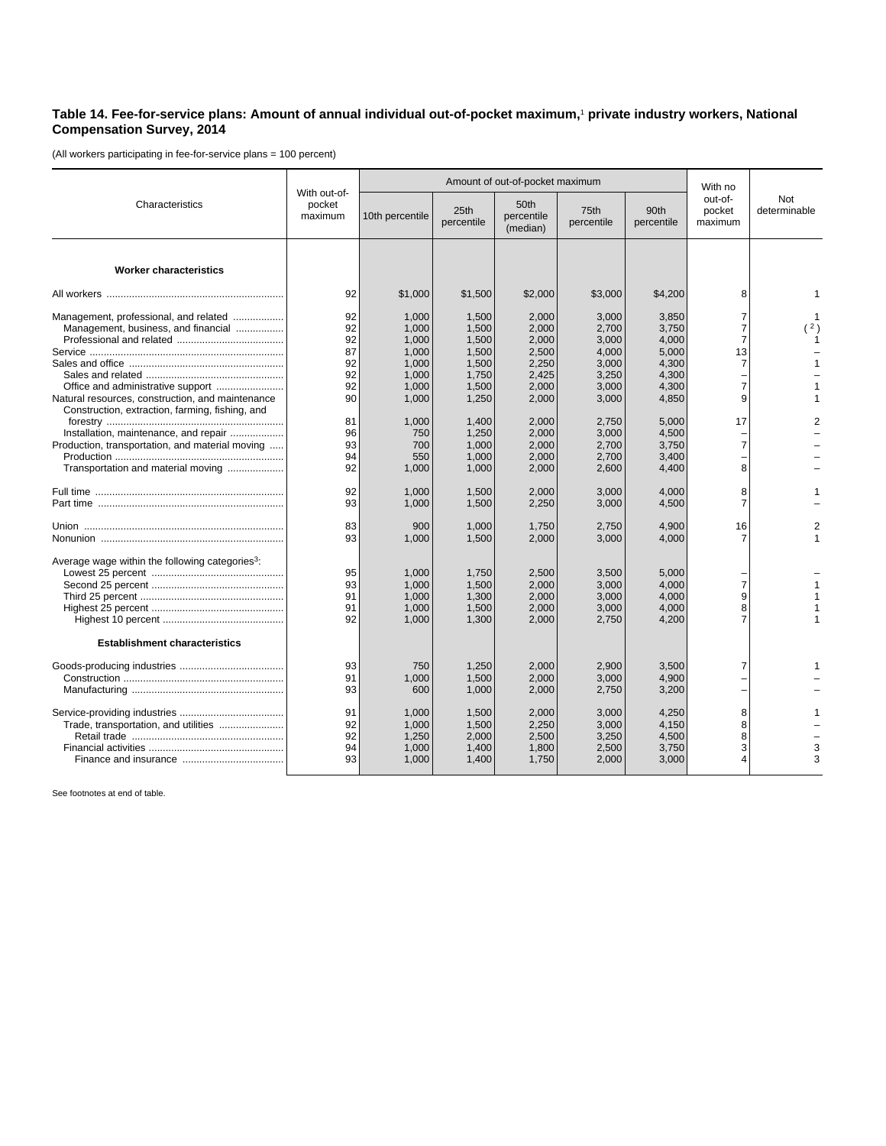## **Table 14. Fee-for-service plans: Amount of annual individual out-of-pocket maximum,**<sup>1</sup>  **private industry workers, National Compensation Survey, 2014**

(All workers participating in fee-for-service plans = 100 percent)

| Characteristics                                                                                                                | With out-of-<br>pocket<br>maximum |                                                    | Amount of out-of-pocket maximum                    | With no                                            |                                                    |                                                    |                                                               |                     |
|--------------------------------------------------------------------------------------------------------------------------------|-----------------------------------|----------------------------------------------------|----------------------------------------------------|----------------------------------------------------|----------------------------------------------------|----------------------------------------------------|---------------------------------------------------------------|---------------------|
|                                                                                                                                |                                   | 10th percentile                                    | 25th<br>percentile                                 | 50th<br>percentile<br>(median)                     | 75th<br>percentile                                 | 90th<br>percentile                                 | out-of-<br>pocket<br>maximum                                  | Not<br>determinable |
| <b>Worker characteristics</b>                                                                                                  |                                   |                                                    |                                                    |                                                    |                                                    |                                                    |                                                               |                     |
|                                                                                                                                | 92                                | \$1,000                                            | \$1,500                                            | \$2,000                                            | \$3,000                                            | \$4,200                                            | 8                                                             |                     |
| Management, professional, and related<br>Management, business, and financial                                                   | 92<br>92<br>92<br>87<br>92<br>92  | 1,000<br>1,000<br>1,000<br>1,000<br>1,000<br>1,000 | 1,500<br>1,500<br>1,500<br>1,500<br>1,500<br>1,750 | 2,000<br>2,000<br>2,000<br>2,500<br>2,250<br>2,425 | 3,000<br>2,700<br>3,000<br>4,000<br>3,000<br>3,250 | 3,850<br>3,750<br>4,000<br>5,000<br>4,300<br>4,300 | 7<br>$\overline{7}$<br>$\overline{7}$<br>13<br>$\overline{7}$ | (2)                 |
| Natural resources, construction, and maintenance<br>Construction, extraction, farming, fishing, and                            | 92<br>90<br>81                    | 1,000<br>1,000<br>1,000                            | 1,500<br>1,250<br>1,400                            | 2,000<br>2,000<br>2,000                            | 3,000<br>3,000<br>2,750                            | 4,300<br>4,850<br>5,000                            | $\overline{7}$<br>9<br>17                                     |                     |
| Installation, maintenance, and repair<br>Production, transportation, and material moving<br>Transportation and material moving | 96<br>93<br>94<br>92              | 750<br>700<br>550<br>1,000                         | 1,250<br>1.000<br>1,000<br>1,000                   | 2,000<br>2,000<br>2,000<br>2,000                   | 3,000<br>2,700<br>2,700<br>2,600                   | 4,500<br>3,750<br>3,400<br>4,400                   | $\overline{7}$<br>8                                           |                     |
|                                                                                                                                | 92<br>93                          | 1,000<br>1,000                                     | 1,500<br>1,500                                     | 2,000<br>2,250                                     | 3,000<br>3,000                                     | 4,000<br>4,500                                     | 8<br>$\overline{7}$                                           |                     |
|                                                                                                                                | 83<br>93                          | 900<br>1,000                                       | 1.000<br>1,500                                     | 1,750<br>2,000                                     | 2.750<br>3,000                                     | 4.900<br>4,000                                     | 16<br>7                                                       |                     |
| Average wage within the following categories <sup>3</sup> :                                                                    | 95<br>93<br>91<br>91<br>92        | 1.000<br>1,000<br>1.000<br>1,000<br>1,000          | 1,750<br>1,500<br>1,300<br>1,500<br>1,300          | 2,500<br>2,000<br>2,000<br>2,000<br>2,000          | 3.500<br>3,000<br>3,000<br>3,000<br>2,750          | 5.000<br>4,000<br>4,000<br>4,000<br>4,200          | $\overline{7}$<br>9<br>8                                      |                     |
| <b>Establishment characteristics</b>                                                                                           |                                   |                                                    |                                                    |                                                    |                                                    |                                                    |                                                               |                     |
|                                                                                                                                | 93<br>91<br>93                    | 750<br>1,000<br>600                                | 1,250<br>1,500<br>1,000                            | 2,000<br>2,000<br>2,000                            | 2,900<br>3,000<br>2,750                            | 3,500<br>4,900<br>3,200                            | 7                                                             |                     |
|                                                                                                                                | 91<br>92<br>92<br>94<br>93        | 1.000<br>1,000<br>1,250<br>1,000<br>1,000          | 1.500<br>1,500<br>2,000<br>1,400<br>1,400          | 2,000<br>2,250<br>2,500<br>1,800<br>1,750          | 3,000<br>3,000<br>3,250<br>2,500<br>2,000          | 4,250<br>4,150<br>4,500<br>3,750<br>3,000          | 8<br>8<br>8<br>3<br>4                                         | 3<br>3              |

See footnotes at end of table.